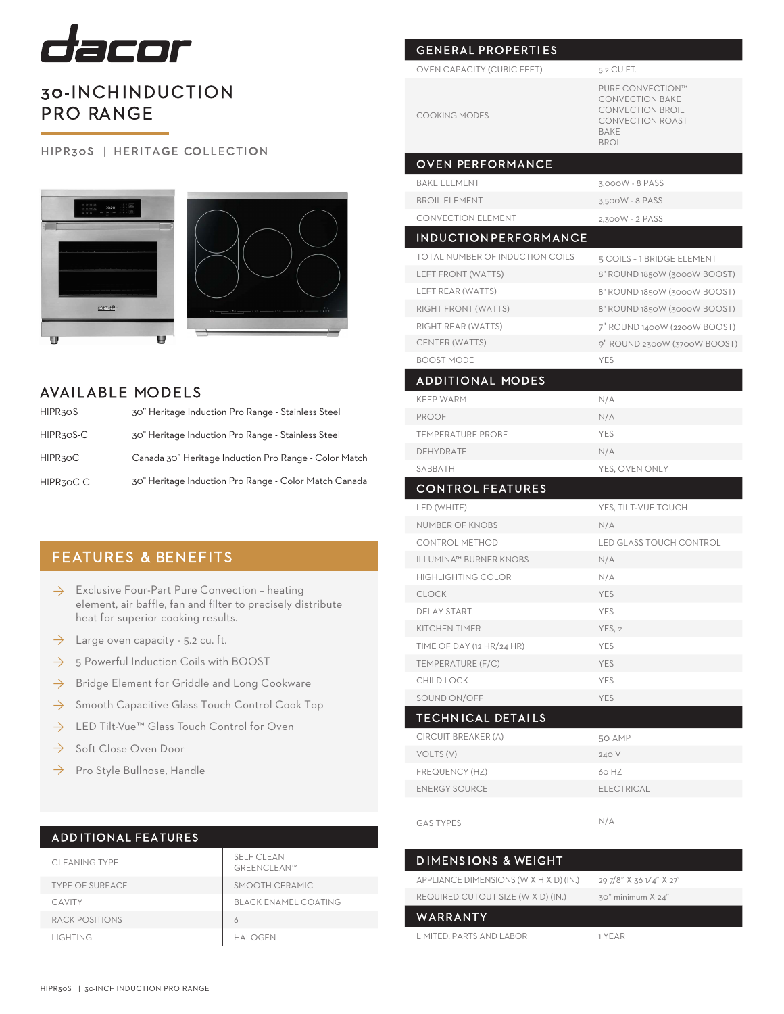

# 30-INCH INDUCTION PRO RANGE

#### HIPR30S | HERITAGE COLLECTION





## AVAILABLE MODELS

| HIPR30S   | 30" Heritage Induction Pro Range - Stainless Steel    |
|-----------|-------------------------------------------------------|
| HIPR30S-C | 30" Heritage Induction Pro Range - Stainless Steel    |
| HIPR30C   | Canada 30" Heritage Induction Pro Range - Color Match |
| HIPR30C-C | 30" Heritage Induction Pro Range - Color Match Canada |

## FEATURES & BENEFITS

- $\rightarrow$  Exclusive Four-Part Pure Convection heating element, air baffle, fan and filter to precisely distribute heat for superior cooking results.
- $\rightarrow$  Large oven capacity 5.2 cu. ft.
- 5 Powerful Induction Coils with BOOST ◊
- $\rightarrow$  Bridge Element for Griddle and Long Cookware
- Smooth Capacitive Glass Touch Control Cook Top ◊
- LED Tilt-Vue™ Glass Touch Control for Oven ◊
- Soft Close Oven Door ◊
- Pro Style Bullnose, Handle  $\rightarrow$

## ADD ITIONAL FEATURES

| <b>CLEANING TYPE</b>   | <b>SELF CLEAN</b><br>GREENCLEAN™ |
|------------------------|----------------------------------|
| <b>TYPE OF SURFACE</b> | SMOOTH CERAMIC                   |
| CAVITY                 | <b>BLACK ENAMEL COATING</b>      |
| RACK POSITIONS         |                                  |
| LIGHTING               | HAI OGEN                         |

| <b>OVEN CAPACITY (CUBIC FEET)</b>      | 5.2 CU FT.                                                                                                                      |
|----------------------------------------|---------------------------------------------------------------------------------------------------------------------------------|
| <b>COOKING MODES</b>                   | PURE CONVECTION™<br><b>CONVECTION BAKE</b><br><b>CONVECTION BROIL</b><br><b>CONVECTION ROAST</b><br><b>BAKE</b><br><b>BROIL</b> |
| <b>OVEN PERFORMANCE</b>                |                                                                                                                                 |
| <b>BAKE ELEMENT</b>                    | 3,000W - 8 PASS                                                                                                                 |
| <b>BROIL ELEMENT</b>                   | 3.500W - 8 PASS                                                                                                                 |
| <b>CONVECTION ELEMENT</b>              | 2,300W - 2 PASS                                                                                                                 |
| <b>INDUCTION PERFORMANCE</b>           |                                                                                                                                 |
| TOTAL NUMBER OF INDUCTION COILS        | 5 COILS + 1 BRIDGE ELEMENT                                                                                                      |
| LEFT FRONT (WATTS)                     | 8" ROUND 1850W (3000W BOOST)                                                                                                    |
| LEFT REAR (WATTS)                      | 8" ROUND 1850W (3000W BOOST)                                                                                                    |
| RIGHT FRONT (WATTS)                    | 8" ROUND 1850W (3000W BOOST)                                                                                                    |
| RIGHT REAR (WATTS)                     | 7" ROUND 1400W (2200W BOOST)                                                                                                    |
| CENTER (WATTS)                         | 9" ROUND 2300W (3700W BOOST)                                                                                                    |
| <b>BOOST MODE</b>                      | <b>YES</b>                                                                                                                      |
| <b>ADDITIONAL MODES</b>                |                                                                                                                                 |
| <b>KEEP WARM</b>                       | N/A                                                                                                                             |
| <b>PROOF</b>                           | N/A                                                                                                                             |
| <b>TEMPERATURE PROBE</b>               | YES                                                                                                                             |
| DEHYDRATE                              | N/A                                                                                                                             |
| SABBATH                                | YES, OVEN ONLY                                                                                                                  |
| <b>CONTROL FEATURES</b>                |                                                                                                                                 |
| LED (WHITE)                            | YES, TILT-VUE TOUCH                                                                                                             |
| <b>NUMBER OF KNOBS</b>                 | N/A                                                                                                                             |
| <b>CONTROL METHOD</b>                  | <b>LED GLASS TOUCH CONTROL</b>                                                                                                  |
| <b>ILLUMINA™ BURNER KNOBS</b>          | N/A                                                                                                                             |
| <b>HIGHLIGHTING COLOR</b>              | N/A                                                                                                                             |
| <b>CLOCK</b>                           | <b>YES</b>                                                                                                                      |
| <b>DELAY START</b>                     | <b>YES</b>                                                                                                                      |
|                                        |                                                                                                                                 |
| <b>KITCHEN TIMER</b>                   | YES, 2                                                                                                                          |
| TIME OF DAY (12 HR/24 HR)              | <b>YES</b>                                                                                                                      |
| TEMPERATURE (F/C)                      | <b>YES</b>                                                                                                                      |
| <b>CHILD LOCK</b>                      | <b>YES</b>                                                                                                                      |
| SOUND ON/OFF                           | <b>YES</b>                                                                                                                      |
| <b>TECHNICAL DETAILS</b>               |                                                                                                                                 |
| CIRCUIT BREAKER (A)                    | 50 AMP                                                                                                                          |
| VOLTS (V)                              | 240 V                                                                                                                           |
| FREQUENCY (HZ)                         | 60 HZ                                                                                                                           |
| <b>ENERGY SOURCE</b>                   | <b>ELECTRICAL</b>                                                                                                               |
| <b>GAS TYPES</b>                       | N/A                                                                                                                             |
| <b>DIMENSIONS &amp; WEIGHT</b>         |                                                                                                                                 |
| APPLIANCE DIMENSIONS (W X H X D) (IN.) | 29 7/8" X 36 1/4" X 27"                                                                                                         |
| REQUIRED CUTOUT SIZE (W X D) (IN.)     | 30" minimum X 24"                                                                                                               |
| WARRANTY                               |                                                                                                                                 |